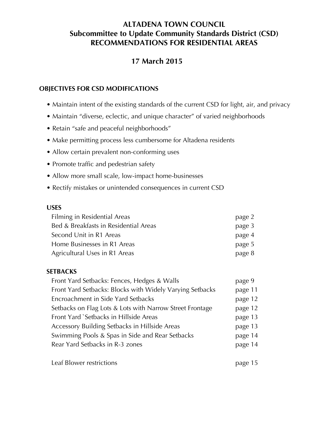# **ALTADENA TOWN COUNCIL Subcommittee to Update Community Standards District (CSD) RECOMMENDATIONS FOR RESIDENTIAL AREAS**

# **17 March 2015**

### **OBJECTIVES FOR CSD MODIFICATIONS**

- Maintain intent of the existing standards of the current CSD for light, air, and privacy
- Maintain "diverse, eclectic, and unique character" of varied neighborhoods
- Retain "safe and peaceful neighborhoods"
- Make permitting process less cumbersome for Altadena residents
- Allow certain prevalent non-conforming uses
- Promote traffic and pedestrian safety
- Allow more small scale, low-impact home-businesses
- Rectify mistakes or unintended consequences in current CSD

#### **USES**

| Filming in Residential Areas          | page 2 |
|---------------------------------------|--------|
| Bed & Breakfasts in Residential Areas | page 3 |
| Second Unit in R1 Areas               | page 4 |
| Home Businesses in R1 Areas           | page 5 |
| Agricultural Uses in R1 Areas         | page 8 |

#### **SETBACKS**

| Front Yard Setbacks: Fences, Hedges & Walls              | page 9  |
|----------------------------------------------------------|---------|
| Front Yard Setbacks: Blocks with Widely Varying Setbacks | page 11 |
| Encroachment in Side Yard Setbacks                       | page 12 |
| Setbacks on Flag Lots & Lots with Narrow Street Frontage | page 12 |
| Front Yard `Setbacks in Hillside Areas                   | page 13 |
| Accessory Building Setbacks in Hillside Areas            | page 13 |
| Swimming Pools & Spas in Side and Rear Setbacks          | page 14 |
| Rear Yard Setbacks in R-3 zones                          | page 14 |
|                                                          |         |

Leaf Blower restrictions **page 15**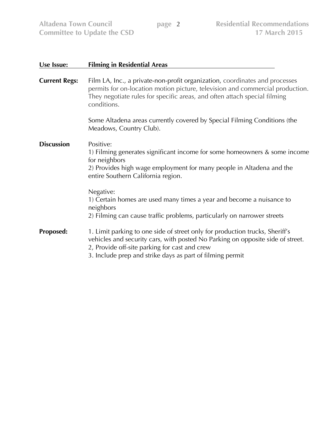**Committee to Update the CSD** 

| Use Issue:           | <b>Filming in Residential Areas</b>                                                                                                                                                                                                                                          |  |  |  |
|----------------------|------------------------------------------------------------------------------------------------------------------------------------------------------------------------------------------------------------------------------------------------------------------------------|--|--|--|
| <b>Current Regs:</b> | Film LA, Inc., a private-non-profit organization, coordinates and processes<br>permits for on-location motion picture, television and commercial production.<br>They negotiate rules for specific areas, and often attach special filming<br>conditions.                     |  |  |  |
|                      | Some Altadena areas currently covered by Special Filming Conditions (the<br>Meadows, Country Club).                                                                                                                                                                          |  |  |  |
| <b>Discussion</b>    | Positive:<br>1) Filming generates significant income for some homeowners & some income<br>for neighbors<br>2) Provides high wage employment for many people in Altadena and the<br>entire Southern California region.                                                        |  |  |  |
|                      | Negative:<br>1) Certain homes are used many times a year and become a nuisance to<br>neighbors<br>2) Filming can cause traffic problems, particularly on narrower streets                                                                                                    |  |  |  |
| <b>Proposed:</b>     | 1. Limit parking to one side of street only for production trucks, Sheriff's<br>vehicles and security cars, with posted No Parking on opposite side of street.<br>2, Provide off-site parking for cast and crew<br>3. Include prep and strike days as part of filming permit |  |  |  |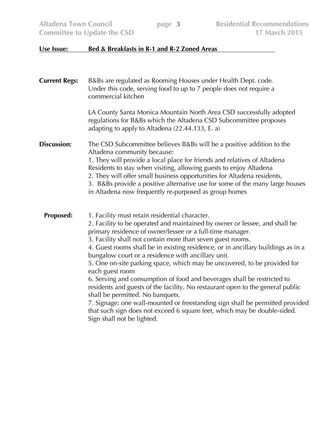**Committee to Update the CSD** 

## **Use Issue: Bed & Breakfasts in R-1 and R-2 Zoned Areas**

| <b>Current Regs:</b> | B&Bs are regulated as Rooming Houses under Health Dept. code.<br>Under this code, serving food to up to 7 people does not require a<br>commercial kitchen                                                                                                                                                                                                                                                                                                                                                                                                                                                                                                                                                                                                                                                                                                                                    |  |  |  |
|----------------------|----------------------------------------------------------------------------------------------------------------------------------------------------------------------------------------------------------------------------------------------------------------------------------------------------------------------------------------------------------------------------------------------------------------------------------------------------------------------------------------------------------------------------------------------------------------------------------------------------------------------------------------------------------------------------------------------------------------------------------------------------------------------------------------------------------------------------------------------------------------------------------------------|--|--|--|
|                      | LA County Santa Monica Mountain North Area CSD successfully adopted<br>regulations for B&Bs which the Altadena CSD Subcommittee proposes<br>adapting to apply to Altadena (22.44.133, E. a)                                                                                                                                                                                                                                                                                                                                                                                                                                                                                                                                                                                                                                                                                                  |  |  |  |
| <b>Discussion:</b>   | The CSD Subcommittee believes B&Bs will be a positive addition to the<br>Altadena community because:<br>1. They will provide a local place for friends and relatives of Altadena<br>Residents to stay when visiting, allowing guests to enjoy Altadena<br>2. They will offer small business opportunities for Altadena residents,<br>3. B&Bs provide a positive alternative use for some of the many large houses<br>in Altadena now frequently re-purposed as group homes                                                                                                                                                                                                                                                                                                                                                                                                                   |  |  |  |
| <b>Proposed:</b>     | 1. Facility must retain residential character.<br>2. Facility to be operated and maintained by owner or lessee, and shall be<br>primary residence of owner/lessee or a full-time manager.<br>3. Facility shall not contain more than seven guest rooms.<br>4. Guest rooms shall be in existing residence, or in ancillary buildings as in a<br>bungalow court or a residence with ancillary unit.<br>5. One on-site parking space, which may be uncovered, to be provided for<br>each guest room<br>6. Serving and consumption of food and beverages shall be restricted to<br>residents and guests of the facility. No restaurant open to the general public<br>shall be permitted. No banquets.<br>7. Signage: one wall-mounted or freestanding sign shall be permitted provided<br>that such sign does not exceed 6 square feet, which may be double-sided.<br>Sign shall not be lighted. |  |  |  |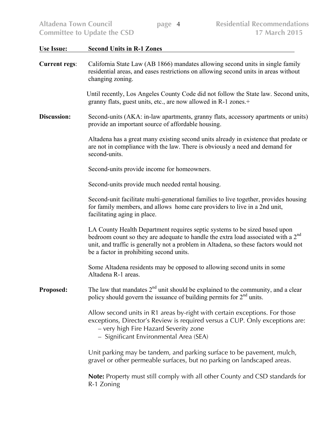| <b>Altadena Town Council</b> | <b>Residential Recommendations</b><br>page 4<br><b>17 March 2015</b><br><b>Committee to Update the CSD</b>                                                                                                                                                                                                      |  |  |  |  |
|------------------------------|-----------------------------------------------------------------------------------------------------------------------------------------------------------------------------------------------------------------------------------------------------------------------------------------------------------------|--|--|--|--|
| <b>Use Issue:</b>            | <b>Second Units in R-1 Zones</b>                                                                                                                                                                                                                                                                                |  |  |  |  |
| <b>Current regs:</b>         | California State Law (AB 1866) mandates allowing second units in single family<br>residential areas, and eases restrictions on allowing second units in areas without<br>changing zoning.                                                                                                                       |  |  |  |  |
|                              | Until recently, Los Angeles County Code did not follow the State law. Second units,<br>granny flats, guest units, etc., are now allowed in R-1 zones.+                                                                                                                                                          |  |  |  |  |
| Discussion:                  | Second-units (AKA: in-law apartments, granny flats, accessory apartments or units)<br>provide an important source of affordable housing.                                                                                                                                                                        |  |  |  |  |
|                              | Altadena has a great many existing second units already in existence that predate or<br>are not in compliance with the law. There is obviously a need and demand for<br>second-units.                                                                                                                           |  |  |  |  |
|                              | Second-units provide income for homeowners.                                                                                                                                                                                                                                                                     |  |  |  |  |
|                              | Second-units provide much needed rental housing.                                                                                                                                                                                                                                                                |  |  |  |  |
|                              | Second-unit facilitate multi-generational families to live together, provides housing<br>for family members, and allows home care providers to live in a 2nd unit,<br>facilitating aging in place.                                                                                                              |  |  |  |  |
|                              | LA County Health Department requires septic systems to be sized based upon<br>bedroom count so they are adequate to handle the extra load associated with a 2 <sup>nd</sup><br>unit, and traffic is generally not a problem in Altadena, so these factors would not<br>be a factor in prohibiting second units. |  |  |  |  |
|                              | Some Altadena residents may be opposed to allowing second units in some<br>Altadena R-1 areas.                                                                                                                                                                                                                  |  |  |  |  |
| <b>Proposed:</b>             | The law that mandates $2^{nd}$ unit should be explained to the community, and a clear<br>policy should govern the issuance of building permits for $2nd$ units.                                                                                                                                                 |  |  |  |  |
|                              | Allow second units in R1 areas by-right with certain exceptions. For those<br>exceptions, Director's Review is required versus a CUP. Only exceptions are:<br>- very high Fire Hazard Severity zone<br>- Significant Environmental Area (SEA)                                                                   |  |  |  |  |
|                              | Unit parking may be tandem, and parking surface to be pavement, mulch,<br>gravel or other permeable surfaces, but no parking on landscaped areas.                                                                                                                                                               |  |  |  |  |
|                              | <b>Note:</b> Property must still comply with all other County and CSD standards for<br>R-1 Zoning                                                                                                                                                                                                               |  |  |  |  |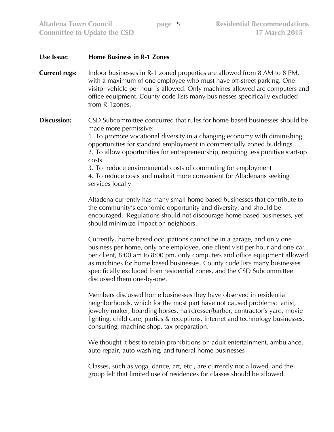**Committee to Update the CSD** 

| Use Issue:           | <b>Home Business in R-1 Zones</b>                                                                                                                                                                                                                                                                                                                                                                                                                                                                                    |  |  |  |
|----------------------|----------------------------------------------------------------------------------------------------------------------------------------------------------------------------------------------------------------------------------------------------------------------------------------------------------------------------------------------------------------------------------------------------------------------------------------------------------------------------------------------------------------------|--|--|--|
| <b>Current regs:</b> | Indoor businesses in R-1 zoned properties are allowed from 8 AM to 8 PM,<br>with a maximum of one employee who must have off-street parking. One<br>visitor vehicle per hour is allowed. Only machines allowed are computers and<br>office equipment. County code lists many businesses specifically excluded<br>from R-1 zones.                                                                                                                                                                                     |  |  |  |
| Discussion:          | CSD Subcommittee concurred that rules for home-based businesses should be<br>made more permissive:<br>1. To promote vocational diversity in a changing economy with diminishing<br>opportunities for standard employment in commercially zoned buildings.<br>2. To allow opportunities for entrepreneurship, requiring less punitive start-up<br>costs.<br>3. To reduce environmental costs of commuting for employment<br>4. To reduce costs and make it more convenient for Altadenans seeking<br>services locally |  |  |  |
|                      | Altadena currently has many small home based businesses that contribute to<br>the community's economic opportunity and diversity, and should be<br>encouraged. Regulations should not discourage home based businesses, yet<br>should minimize impact on neighbors.                                                                                                                                                                                                                                                  |  |  |  |
|                      | Currently, home based occupations cannot be in a garage, and only one<br>business per home, only one employee, one client visit per hour and one car<br>per client, 8:00 am to 8:00 pm, only computers and office equipment allowed<br>as machines for home based businesses. County code lists many businesses<br>specifically excluded from residential zones, and the CSD Subcommittee<br>discussed them one-by-one.                                                                                              |  |  |  |
|                      | Members discussed home businesses they have observed in residential<br>neighborhoods, which for the most part have not caused problems: artist,<br>jewelry maker, boarding horses, hairdresser/barber, contractor's yard, movie<br>lighting, child care, parties & receptions, internet and technology businesses,<br>consulting, machine shop, tax preparation.                                                                                                                                                     |  |  |  |
|                      | We thought it best to retain prohibitions on adult entertainment, ambulance,<br>auto repair, auto washing, and funeral home businesses                                                                                                                                                                                                                                                                                                                                                                               |  |  |  |
|                      | Classes, such as yoga, dance, art, etc., are currently not allowed, and the<br>group felt that limited use of residences for classes should be allowed.                                                                                                                                                                                                                                                                                                                                                              |  |  |  |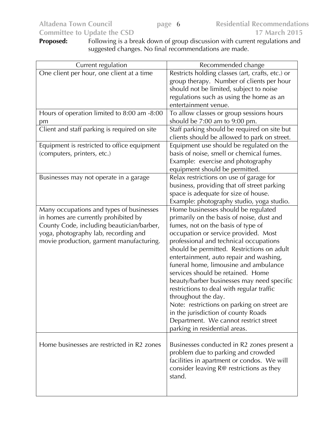| Proposed: | Following is a break down of group discussion with current regulations and |
|-----------|----------------------------------------------------------------------------|
|           | suggested changes. No final recommendations are made.                      |

| Current regulation                                                                                                                                                                                                | Recommended change                                                                                                                                                                                                                                                                                                                                                                                                                                                                                                                                                                                                                                                |
|-------------------------------------------------------------------------------------------------------------------------------------------------------------------------------------------------------------------|-------------------------------------------------------------------------------------------------------------------------------------------------------------------------------------------------------------------------------------------------------------------------------------------------------------------------------------------------------------------------------------------------------------------------------------------------------------------------------------------------------------------------------------------------------------------------------------------------------------------------------------------------------------------|
| One client per hour, one client at a time                                                                                                                                                                         | Restricts holding classes (art, crafts, etc.) or<br>group therapy. Number of clients per hour<br>should not be limited, subject to noise<br>regulations such as using the home as an<br>entertainment venue.                                                                                                                                                                                                                                                                                                                                                                                                                                                      |
| Hours of operation limited to 8:00 am -8:00<br>рm                                                                                                                                                                 | To allow classes or group sessions hours<br>should be 7:00 am to 9:00 pm.                                                                                                                                                                                                                                                                                                                                                                                                                                                                                                                                                                                         |
| Client and staff parking is required on site                                                                                                                                                                      | Staff parking should be required on site but<br>clients should be allowed to park on street.                                                                                                                                                                                                                                                                                                                                                                                                                                                                                                                                                                      |
| Equipment is restricted to office equipment<br>(computers, printers, etc.)                                                                                                                                        | Equipment use should be regulated on the<br>basis of noise, smell or chemical fumes.<br>Example: exercise and photography<br>equipment should be permitted.                                                                                                                                                                                                                                                                                                                                                                                                                                                                                                       |
| Businesses may not operate in a garage                                                                                                                                                                            | Relax restrictions on use of garage for<br>business, providing that off street parking<br>space is adequate for size of house.<br>Example: photography studio, yoga studio.                                                                                                                                                                                                                                                                                                                                                                                                                                                                                       |
| Many occupations and types of businesses<br>in homes are currently prohibited by<br>County Code, including beautician/barber,<br>yoga, photography lab, recording and<br>movie production, garment manufacturing. | Home businesses should be regulated<br>primarily on the basis of noise, dust and<br>fumes, not on the basis of type of<br>occupation or service provided. Most<br>professional and technical occupations<br>should be permitted. Restrictions on adult<br>entertainment, auto repair and washing,<br>funeral home, limousine and ambulance<br>services should be retained. Home<br>beauty/barber businesses may need specific<br>restrictions to deal with regular traffic<br>throughout the day.<br>Note: restrictions on parking on street are<br>in the jurisdiction of county Roads<br>Department. We cannot restrict street<br>parking in residential areas. |
| Home businesses are restricted in R2 zones                                                                                                                                                                        | Businesses conducted in R2 zones present a<br>problem due to parking and crowded<br>facilities in apartment or condos. We will<br>consider leaving R@ restrictions as they<br>stand.                                                                                                                                                                                                                                                                                                                                                                                                                                                                              |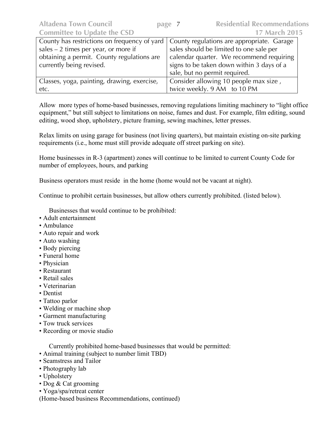| County has restrictions on frequency of yard   County regulations are appropriate. Garage |                                           |  |
|-------------------------------------------------------------------------------------------|-------------------------------------------|--|
| sales $-2$ times per year, or more if                                                     | sales should be limited to one sale per   |  |
| obtaining a permit. County regulations are                                                | calendar quarter. We recommend requiring  |  |
| currently being revised.                                                                  | signs to be taken down within 3 days of a |  |
|                                                                                           | sale, but no permit required.             |  |
| Classes, yoga, painting, drawing, exercise,                                               | Consider allowing 10 people max size,     |  |
| etc.                                                                                      | twice weekly. 9 AM to 10 PM               |  |

Allow more types of home-based businesses, removing regulations limiting machinery to "light office equipment," but still subject to limitations on noise, fumes and dust. For example, film editing, sound editing, wood shop, upholstery, picture framing, sewing machines, letter presses.

Relax limits on using garage for business (not living quarters), but maintain existing on-site parking requirements (i.e., home must still provide adequate off street parking on site).

Home businesses in R-3 (apartment) zones will continue to be limited to current County Code for number of employees, hours, and parking

Business operators must reside in the home (home would not be vacant at night).

Continue to prohibit certain businesses, but allow others currently prohibited. (listed below).

Businesses that would continue to be prohibited:

- Adult entertainment
- Ambulance
- Auto repair and work
- Auto washing
- Body piercing
- Funeral home
- Physician
- Restaurant
- Retail sales
- Veterinarian
- Dentist
- Tattoo parlor
- Welding or machine shop
- Garment manufacturing
- Tow truck services
- Recording or movie studio

Currently prohibited home-based businesses that would be permitted:

- Animal training (subject to number limit TBD)
- Seamstress and Tailor
- Photography lab
- Upholstery
- Dog & Cat grooming
- Yoga/spa/retreat center
- (Home-based business Recommendations, continued)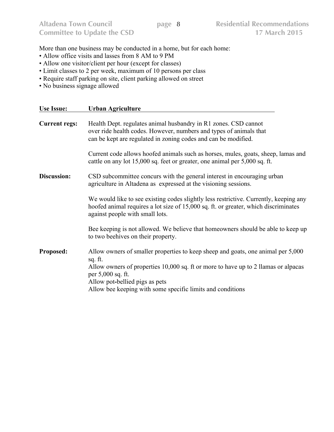More than one business may be conducted in a home, but for each home:

- Allow office visits and lasses from 8 AM to 9 PM
- Allow one visitor/client per hour (except for classes)
- Limit classes to 2 per week, maximum of 10 persons per class
- Require staff parking on site, client parking allowed on street
- No business signage allowed

| <b>Use Issue:</b>    | <b>Urban Agriculture</b>                                                                                                                                                                                                                                                                               |
|----------------------|--------------------------------------------------------------------------------------------------------------------------------------------------------------------------------------------------------------------------------------------------------------------------------------------------------|
| <b>Current regs:</b> | Health Dept. regulates animal husbandry in R1 zones. CSD cannot<br>over ride health codes. However, numbers and types of animals that<br>can be kept are regulated in zoning codes and can be modified.                                                                                                |
|                      | Current code allows hoofed animals such as horses, mules, goats, sheep, lamas and<br>cattle on any lot 15,000 sq. feet or greater, one animal per 5,000 sq. ft.                                                                                                                                        |
| Discussion:          | CSD subcommittee concurs with the general interest in encouraging urban<br>agriculture in Altadena as expressed at the visioning sessions.                                                                                                                                                             |
|                      | We would like to see existing codes slightly less restrictive. Currently, keeping any<br>hoofed animal requires a lot size of 15,000 sq. ft. or greater, which discriminates<br>against people with small lots.                                                                                        |
|                      | Bee keeping is not allowed. We believe that homeowners should be able to keep up<br>to two beehives on their property.                                                                                                                                                                                 |
| <b>Proposed:</b>     | Allow owners of smaller properties to keep sheep and goats, one animal per 5,000<br>sq. ft.<br>Allow owners of properties 10,000 sq. ft or more to have up to 2 llamas or alpacas<br>per 5,000 sq. ft.<br>Allow pot-bellied pigs as pets<br>Allow bee keeping with some specific limits and conditions |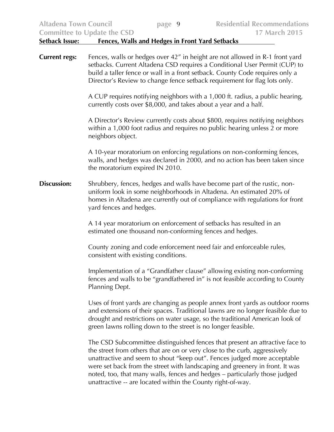| <b>Altadena Town Council</b> | <b>Residential Recommendations</b><br>page 9<br><b>17 March 2015</b><br><b>Committee to Update the CSD</b>                                                                                                                                                                                                                                                                                                                                                          |  |  |
|------------------------------|---------------------------------------------------------------------------------------------------------------------------------------------------------------------------------------------------------------------------------------------------------------------------------------------------------------------------------------------------------------------------------------------------------------------------------------------------------------------|--|--|
| <b>Setback Issue:</b>        | <b>Fences, Walls and Hedges in Front Yard Setbacks</b>                                                                                                                                                                                                                                                                                                                                                                                                              |  |  |
| <b>Current regs:</b>         | Fences, walls or hedges over 42" in height are not allowed in R-1 front yard<br>setbacks. Current Altadena CSD requires a Conditional User Permit (CUP) to<br>build a taller fence or wall in a front setback. County Code requires only a<br>Director's Review to change fence setback requirement for flag lots only.                                                                                                                                             |  |  |
|                              | A CUP requires notifying neighbors with a 1,000 ft. radius, a public hearing,<br>currently costs over \$8,000, and takes about a year and a half.                                                                                                                                                                                                                                                                                                                   |  |  |
|                              | A Director's Review currently costs about \$800, requires notifying neighbors<br>within a 1,000 foot radius and requires no public hearing unless 2 or more<br>neighbors object.                                                                                                                                                                                                                                                                                    |  |  |
|                              | A 10-year moratorium on enforcing regulations on non-conforming fences,<br>walls, and hedges was declared in 2000, and no action has been taken since<br>the moratorium expired IN 2010.                                                                                                                                                                                                                                                                            |  |  |
| <b>Discussion:</b>           | Shrubbery, fences, hedges and walls have become part of the rustic, non-<br>uniform look in some neighborhoods in Altadena. An estimated 20% of<br>homes in Altadena are currently out of compliance with regulations for front<br>yard fences and hedges.                                                                                                                                                                                                          |  |  |
|                              | A 14 year moratorium on enforcement of setbacks has resulted in an<br>estimated one thousand non-conforming fences and hedges.                                                                                                                                                                                                                                                                                                                                      |  |  |
|                              | County zoning and code enforcement need fair and enforceable rules,<br>consistent with existing conditions.                                                                                                                                                                                                                                                                                                                                                         |  |  |
|                              | Implementation of a "Grandfather clause" allowing existing non-conforming<br>fences and walls to be "grandfathered in" is not feasible according to County<br>Planning Dept.                                                                                                                                                                                                                                                                                        |  |  |
|                              | Uses of front yards are changing as people annex front yards as outdoor rooms<br>and extensions of their spaces. Traditional lawns are no longer feasible due to<br>drought and restrictions on water usage, so the traditional American look of<br>green lawns rolling down to the street is no longer feasible.                                                                                                                                                   |  |  |
|                              | The CSD Subcommittee distinguished fences that present an attractive face to<br>the street from others that are on or very close to the curb, aggressively<br>unattractive and seem to shout "keep out". Fences judged more acceptable<br>were set back from the street with landscaping and greenery in front. It was<br>noted, too, that many walls, fences and hedges - particularly those judged<br>unattractive -- are located within the County right-of-way. |  |  |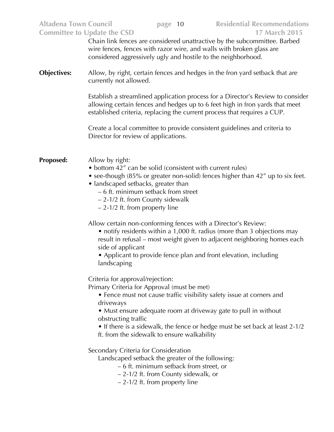| <b>Altadena Town Council</b><br><b>Committee to Update the CSD</b>                                                           |                                                                                                                                                                                                                                                                                                                            |  | page 10                                                                         | <b>Residential Recommendations</b><br><b>17 March 2015</b>                                                                                                                                                                                  |
|------------------------------------------------------------------------------------------------------------------------------|----------------------------------------------------------------------------------------------------------------------------------------------------------------------------------------------------------------------------------------------------------------------------------------------------------------------------|--|---------------------------------------------------------------------------------|---------------------------------------------------------------------------------------------------------------------------------------------------------------------------------------------------------------------------------------------|
|                                                                                                                              | Chain link fences are considered unattractive by the subcommittee. Barbed<br>wire fences, fences with razor wire, and walls with broken glass are<br>considered aggressively ugly and hostile to the neighborhood.                                                                                                         |  |                                                                                 |                                                                                                                                                                                                                                             |
| <b>Objectives:</b><br>Allow, by right, certain fences and hedges in the fron yard setback that are<br>currently not allowed. |                                                                                                                                                                                                                                                                                                                            |  |                                                                                 |                                                                                                                                                                                                                                             |
|                                                                                                                              |                                                                                                                                                                                                                                                                                                                            |  |                                                                                 | Establish a streamlined application process for a Director's Review to consider<br>allowing certain fences and hedges up to 6 feet high in fron yards that meet<br>established criteria, replacing the current process that requires a CUP. |
|                                                                                                                              | Director for review of applications.                                                                                                                                                                                                                                                                                       |  |                                                                                 | Create a local committee to provide consistent guidelines and criteria to                                                                                                                                                                   |
| Proposed:                                                                                                                    | Allow by right:<br>• bottom 42" can be solid (consistent with current rules)<br>• see-though $(85\%$ or greater non-solid) fences higher than $42''$ up to six feet.<br>• landscaped setbacks, greater than<br>- 6 ft. minimum setback from street<br>$-2-1/2$ ft. from County sidewalk<br>$-2-1/2$ ft. from property line |  |                                                                                 |                                                                                                                                                                                                                                             |
|                                                                                                                              | Allow certain non-conforming fences with a Director's Review:<br>side of applicant<br>landscaping                                                                                                                                                                                                                          |  |                                                                                 | • notify residents within a 1,000 ft. radius (more than 3 objections may<br>result in refusal – most weight given to adjacent neighboring homes each<br>• Applicant to provide fence plan and front elevation, including                    |
|                                                                                                                              | Criteria for approval/rejection:<br>Primary Criteria for Approval (must be met)<br>driveways<br>obstructing traffic<br>ft. from the sidewalk to ensure walkability                                                                                                                                                         |  |                                                                                 | • Fence must not cause traffic visibility safety issue at corners and<br>• Must ensure adequate room at driveway gate to pull in without<br>• If there is a sidewalk, the fence or hedge must be set back at least 2-1/2                    |
|                                                                                                                              | Secondary Criteria for Consideration<br>Landscaped setback the greater of the following:<br>$-2-1/2$ ft. from property line                                                                                                                                                                                                |  | - 6 ft. minimum setback from street, or<br>- 2-1/2 ft. from County sidewalk, or |                                                                                                                                                                                                                                             |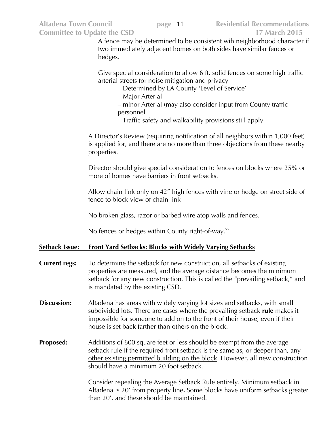A fence may be determined to be consistent wih neighborhood character if two immediately adjacent homes on both sides have similar fences or hedges.

Give special consideration to allow 6 ft. solid fences on some high traffic arterial streets for noise mitigation and privacy

- Determined by LA County 'Level of Service'
- Major Arterial
- minor Arterial (may also consider input from County traffic personnel
- Traffic safety and walkability provisions still apply

A Director's Review (requiring notification of all neighbors within 1,000 feet) is applied for, and there are no more than three objections from these nearby properties.

Director should give special consideration to fences on blocks where 25% or more of homes have barriers in front setbacks.

Allow chain link only on 42" high fences with vine or hedge on street side of fence to block view of chain link

No broken glass, razor or barbed wire atop walls and fences.

No fences or hedges within County right-of-way.``

#### **Setback Issue: Front Yard Setbacks: Blocks with Widely Varying Setbacks**

- **Current regs:** To determine the setback for new construction, all setbacks of existing properties are measured, and the average distance becomes the minimum setback for any new construction. This is called the "prevailing setback," and is mandated by the existing CSD.
- **Discussion:** Altadena has areas with widely varying lot sizes and setbacks, with small subdivided lots. There are cases where the prevailing setback **rule** makes it impossible for someone to add on to the front of their house, even if their house is set back farther than others on the block.
- **Proposed:** Additions of 600 square feet or less should be exempt from the average setback rule if the required front setback is the same as, or deeper than, any other existing permitted building on the block. However, all new construction should have a minimum 20 foot setback.

Consider repealing the Average Setback Rule entirely. Minimum setback in Altadena is 20' from property line**.** Some blocks have uniform setbacks greater than 20', and these should be maintained.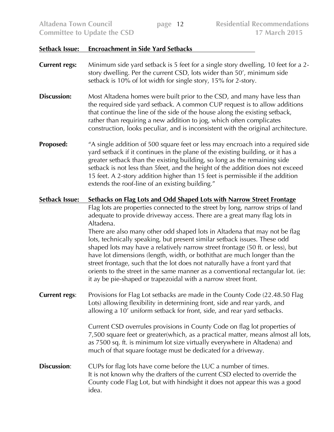#### **Setback Issue: Encroachment in Side Yard Setbacks**

- **Current regs:** Minimum side yard setback is 5 feet for a single story dwelling, 10 feet for a 2 story dwelling. Per the current CSD, lots wider than 50', minimum side setback is 10% of lot width for single story, 15% for 2-story.
- **Discussion:** Most Altadena homes were built prior to the CSD, and many have less than the required side yard setback. A common CUP request is to allow additions that continue the line of the side of the house along the existing setback, rather than requiring a new addition to jog, which often complicates construction, looks peculiar, and is inconsistent with the original architecture.
- **Proposed:** "A single addition of 500 square feet or less may encroach into a required side yard setback if it continues in the plane of the existing building, or it has a greater setback than the existing building, so long as the remaining side setback is not less than 5feet, and the height of the addition does not exceed 15 feet. A 2-story addition higher than 15 feet is permissible if the addition extends the roof-line of an existing building."

#### **Setback Issue: Setbacks on Flag Lots and Odd Shaped Lots with Narrow Street Frontage**

Flag lots are properties connected to the street by long, narrow strips of land adequate to provide driveway access. There are a great many flag lots in Altadena.

There are also many other odd shaped lots in Altadena that may not be flag lots, technically speaking, but present similar setback issues. These odd shaped lots may have a relatively narrow street frontage (50 ft. or less), but have lot dimensions (length, width, or both)that are much longer than the street frontage, such that the lot does not naturally have a front yard that orients to the street in the same manner as a conventional rectangular lot. (ie: it ay be pie-shaped or trapezoidal with a narrow street front.

**Current regs:** Provisions for Flag Lot setbacks are made in the County Code (22.48.50 Flag Lots) allowing flexibility in determining front, side and rear yards, and allowing a 10' uniform setback for front, side, and rear yard setbacks.

> Current CSD overrules provisions in County Code on flag lot properties of 7,500 square feet or greater(which, as a practical matter, means almost all lots, as 7500 sq. ft. is minimum lot size virtually everywhere in Altadena) and much of that square footage must be dedicated for a driveway.

**Discussion:** CUPs for flag lots have come before the LUC a number of times. It is not known why the drafters of the current CSD elected to override the County code Flag Lot, but with hindsight it does not appear this was a good idea.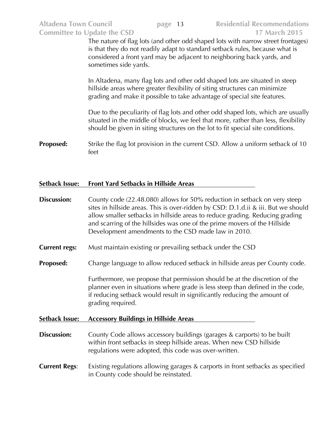The nature of flag lots (and other odd shaped lots with narrow street frontages) is that they do not readily adapt to standard setback rules, because what is considered a front yard may be adjacent to neighboring back yards, and sometimes side yards.

In Altadena, many flag lots and other odd shaped lots are situated in steep hillside areas where greater flexibility of siting structures can minimize grading and make it possible to take advantage of special site features.

Due to the peculiarity of flag lots and other odd shaped lots, which are usually situated in the middle of blocks, we feel that more, rather than less, flexibility should be given in siting structures on the lot to fit special site conditions.

**Proposed:** Strike the flag lot provision in the current CSD. Allow a uniform setback of 10 feet

#### **Setback Issue: Front Yard Setbacks in Hillside Areas**

- **Discussion:** County code (22.48.080) allows for 50% reduction in setback on very steep sites in hillside areas. This is over-ridden by CSD: D.1.d.ii & iii. But we should allow smaller setbacks in hillside areas to reduce grading. Reducing grading and scarring of the hillsides was one of the prime movers of the Hillside Development amendments to the CSD made law in 2010.
- **Current regs:** Must maintain existing or prevailing setback under the CSD
- **Proposed:** Change language to allow reduced setback in hillside areas per County code.

Furthermore, we propose that permission should be at the discretion of the planner even in situations where grade is less steep than defined in the code, if reducing setback would result in significantly reducing the amount of grading required.

#### **Setback Issue: Accessory Buildings in Hillside Areas**

- **Discussion:** County Code allows accessory buildings (garages & carports) to be built within front setbacks in steep hillside areas. When new CSD hillside regulations were adopted, this code was over-written.
- **Current Regs:** Existing regulations allowing garages & carports in front setbacks as specified in County code should be reinstated.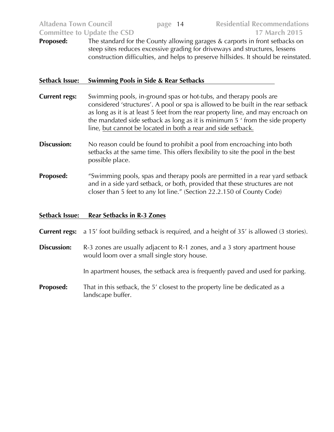**Altadena Town Council page** 14 **Residential Recommendations Committee to Update the CSD 17 March 2015**

**Proposed:** The standard for the County allowing garages & carports in front setbacks on steep sites reduces excessive grading for driveways and structures, lessens construction difficulties, and helps to preserve hillsides. It should be reinstated.

#### **Setback Issue: Swimming Pools in Side & Rear Setbacks**

- **Current regs:** Swimming pools, in-ground spas or hot-tubs, and therapy pools are considered 'structures'. A pool or spa is allowed to be built in the rear setback as long as it is at least 5 feet from the rear property line, and may encroach on the mandated side setback as long as it is minimum 5 ' from the side property line, but cannot be located in both a rear and side setback.
- **Discussion:** No reason could be found to prohibit a pool from encroaching into both setbacks at the same time. This offers flexibility to site the pool in the best possible place.
- **Proposed:** "Swimming pools, spas and therapy pools are permitted in a rear yard setback and in a side yard setback, or both, provided that these structures are not closer than 5 feet to any lot line." (Section 22.2.150 of County Code)

### **Setback Issue: Rear Setbacks in R-3 Zones**

**Current regs:** a 15' foot building setback is required, and a height of 35' is allowed (3 stories).

**Discussion:** R-3 zones are usually adjacent to R-1 zones, and a 3 story apartment house would loom over a small single story house.

In apartment houses, the setback area is frequently paved and used for parking.

**Proposed:** That in this setback, the 5' closest to the property line be dedicated as a landscape buffer.